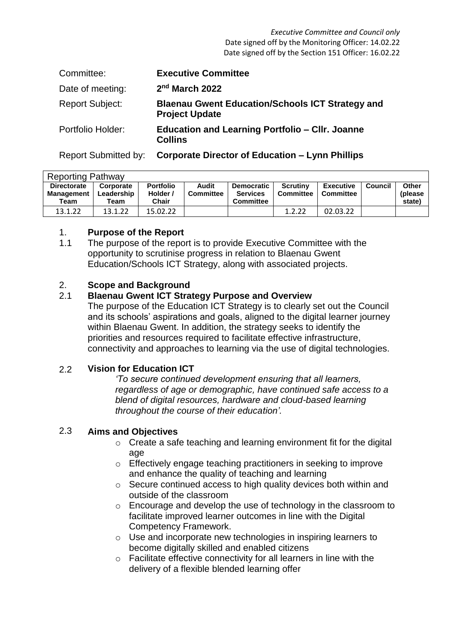*Executive Committee and Council only* Date signed off by the Monitoring Officer: 14.02.22 Date signed off by the Section 151 Officer: 16.02.22

| Committee:             | <b>Executive Committee</b>                                                       |
|------------------------|----------------------------------------------------------------------------------|
| Date of meeting:       | 2 <sup>nd</sup> March 2022                                                       |
| <b>Report Subject:</b> | <b>Blaenau Gwent Education/Schools ICT Strategy and</b><br><b>Project Update</b> |
| Portfolio Holder:      | <b>Education and Learning Portfolio – CIIr. Joanne</b><br><b>Collins</b>         |
|                        |                                                                                  |

Report Submitted by: **Corporate Director of Education – Lynn Phillips**

| <b>Reporting Pathway</b>                        |                                 |                                              |                           |                                                          |                              |                                      |         |                             |  |  |
|-------------------------------------------------|---------------------------------|----------------------------------------------|---------------------------|----------------------------------------------------------|------------------------------|--------------------------------------|---------|-----------------------------|--|--|
| <b>Directorate</b><br><b>Management</b><br>Team | Corporate<br>Leadership<br>Team | <b>Portfolio</b><br>Holder /<br><b>Chair</b> | Audit<br><b>Committee</b> | <b>Democratic</b><br><b>Services</b><br><b>Committee</b> | Scrutiny<br><b>Committee</b> | <b>Executive</b><br><b>Committee</b> | Council | Other<br>(please)<br>state) |  |  |
| 13.1.22                                         | 13.1.22                         | 15.02.22                                     |                           |                                                          | 1.2.22                       | 02.03.22                             |         |                             |  |  |

## 1. **Purpose of the Report**

1.1 The purpose of the report is to provide Executive Committee with the opportunity to scrutinise progress in relation to Blaenau Gwent Education/Schools ICT Strategy, along with associated projects.

## 2. **Scope and Background**

#### 2.1 **Blaenau Gwent ICT Strategy Purpose and Overview**

The purpose of the Education ICT Strategy is to clearly set out the Council and its schools' aspirations and goals, aligned to the digital learner journey within Blaenau Gwent. In addition, the strategy seeks to identify the priorities and resources required to facilitate effective infrastructure, connectivity and approaches to learning via the use of digital technologies.

#### 2.2 **Vision for Education ICT**

*'To secure continued development ensuring that all learners, regardless of age or demographic, have continued safe access to a blend of digital resources, hardware and cloud-based learning throughout the course of their education'.* 

#### 2.3 **Aims and Objectives**

- o Create a safe teaching and learning environment fit for the digital age
- o Effectively engage teaching practitioners in seeking to improve and enhance the quality of teaching and learning
- o Secure continued access to high quality devices both within and outside of the classroom
- o Encourage and develop the use of technology in the classroom to facilitate improved learner outcomes in line with the Digital Competency Framework.
- o Use and incorporate new technologies in inspiring learners to become digitally skilled and enabled citizens
- o Facilitate effective connectivity for all learners in line with the delivery of a flexible blended learning offer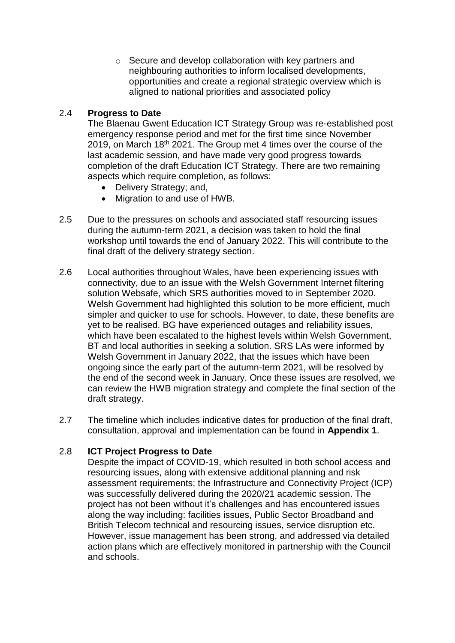o Secure and develop collaboration with key partners and neighbouring authorities to inform localised developments, opportunities and create a regional strategic overview which is aligned to national priorities and associated policy

## 2.4 **Progress to Date**

The Blaenau Gwent Education ICT Strategy Group was re-established post emergency response period and met for the first time since November 2019, on March 18<sup>th</sup> 2021. The Group met 4 times over the course of the last academic session, and have made very good progress towards completion of the draft Education ICT Strategy. There are two remaining aspects which require completion, as follows:

- Delivery Strategy; and,
- Migration to and use of HWB.
- 2.5 Due to the pressures on schools and associated staff resourcing issues during the autumn-term 2021, a decision was taken to hold the final workshop until towards the end of January 2022. This will contribute to the final draft of the delivery strategy section.
- 2.6 Local authorities throughout Wales, have been experiencing issues with connectivity, due to an issue with the Welsh Government Internet filtering solution Websafe, which SRS authorities moved to in September 2020. Welsh Government had highlighted this solution to be more efficient, much simpler and quicker to use for schools. However, to date, these benefits are yet to be realised. BG have experienced outages and reliability issues, which have been escalated to the highest levels within Welsh Government, BT and local authorities in seeking a solution. SRS LAs were informed by Welsh Government in January 2022, that the issues which have been ongoing since the early part of the autumn-term 2021, will be resolved by the end of the second week in January. Once these issues are resolved, we can review the HWB migration strategy and complete the final section of the draft strategy.
- 2.7 The timeline which includes indicative dates for production of the final draft, consultation, approval and implementation can be found in **Appendix 1**.

## 2.8 **ICT Project Progress to Date**

Despite the impact of COVID-19, which resulted in both school access and resourcing issues, along with extensive additional planning and risk assessment requirements; the Infrastructure and Connectivity Project (ICP) was successfully delivered during the 2020/21 academic session. The project has not been without it's challenges and has encountered issues along the way including: facilities issues, Public Sector Broadband and British Telecom technical and resourcing issues, service disruption etc. However, issue management has been strong, and addressed via detailed action plans which are effectively monitored in partnership with the Council and schools.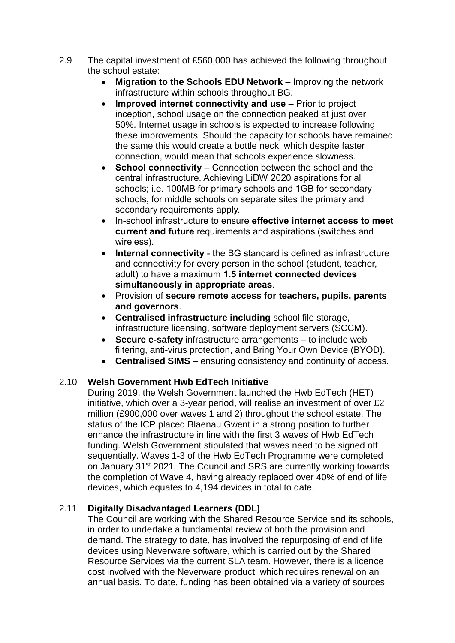- 2.9 The capital investment of £560,000 has achieved the following throughout the school estate:
	- **Migration to the Schools EDU Network** Improving the network infrastructure within schools throughout BG.
	- **Improved internet connectivity and use** Prior to project inception, school usage on the connection peaked at just over 50%. Internet usage in schools is expected to increase following these improvements. Should the capacity for schools have remained the same this would create a bottle neck, which despite faster connection, would mean that schools experience slowness.
	- **School connectivity** Connection between the school and the central infrastructure. Achieving LiDW 2020 aspirations for all schools; i.e. 100MB for primary schools and 1GB for secondary schools, for middle schools on separate sites the primary and secondary requirements apply.
	- In-school infrastructure to ensure **effective internet access to meet current and future** requirements and aspirations (switches and wireless).
	- **Internal connectivity**  the BG standard is defined as infrastructure and connectivity for every person in the school (student, teacher, adult) to have a maximum **1.5 internet connected devices simultaneously in appropriate areas**.
	- Provision of **secure remote access for teachers, pupils, parents and governors**.
	- **Centralised infrastructure including** school file storage, infrastructure licensing, software deployment servers (SCCM).
	- **Secure e-safety** infrastructure arrangements to include web filtering, anti-virus protection, and Bring Your Own Device (BYOD).
	- **Centralised SIMS**  ensuring consistency and continuity of access.

## 2.10 **Welsh Government Hwb EdTech Initiative**

During 2019, the Welsh Government launched the Hwb EdTech (HET) initiative, which over a 3-year period, will realise an investment of over £2 million (£900,000 over waves 1 and 2) throughout the school estate. The status of the ICP placed Blaenau Gwent in a strong position to further enhance the infrastructure in line with the first 3 waves of Hwb EdTech funding. Welsh Government stipulated that waves need to be signed off sequentially. Waves 1-3 of the Hwb EdTech Programme were completed on January 31st 2021. The Council and SRS are currently working towards the completion of Wave 4, having already replaced over 40% of end of life devices, which equates to 4,194 devices in total to date.

## 2.11 **Digitally Disadvantaged Learners (DDL)**

The Council are working with the Shared Resource Service and its schools, in order to undertake a fundamental review of both the provision and demand. The strategy to date, has involved the repurposing of end of life devices using Neverware software, which is carried out by the Shared Resource Services via the current SLA team. However, there is a licence cost involved with the Neverware product, which requires renewal on an annual basis. To date, funding has been obtained via a variety of sources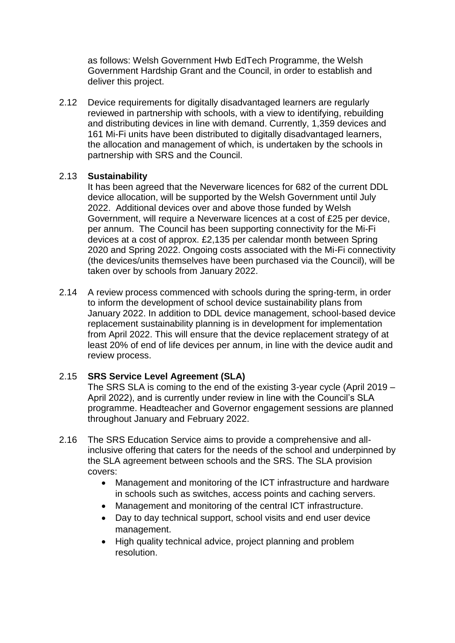as follows: Welsh Government Hwb EdTech Programme, the Welsh Government Hardship Grant and the Council, in order to establish and deliver this project.

2.12 Device requirements for digitally disadvantaged learners are regularly reviewed in partnership with schools, with a view to identifying, rebuilding and distributing devices in line with demand. Currently, 1,359 devices and 161 Mi-Fi units have been distributed to digitally disadvantaged learners, the allocation and management of which, is undertaken by the schools in partnership with SRS and the Council.

## 2.13 **Sustainability**

It has been agreed that the Neverware licences for 682 of the current DDL device allocation, will be supported by the Welsh Government until July 2022. Additional devices over and above those funded by Welsh Government, will require a Neverware licences at a cost of £25 per device, per annum. The Council has been supporting connectivity for the Mi-Fi devices at a cost of approx. £2,135 per calendar month between Spring 2020 and Spring 2022. Ongoing costs associated with the Mi-Fi connectivity (the devices/units themselves have been purchased via the Council), will be taken over by schools from January 2022.

2.14 A review process commenced with schools during the spring-term, in order to inform the development of school device sustainability plans from January 2022. In addition to DDL device management, school-based device replacement sustainability planning is in development for implementation from April 2022. This will ensure that the device replacement strategy of at least 20% of end of life devices per annum, in line with the device audit and review process.

## 2.15 **SRS Service Level Agreement (SLA)**

The SRS SLA is coming to the end of the existing 3-year cycle (April 2019 – April 2022), and is currently under review in line with the Council's SLA programme. Headteacher and Governor engagement sessions are planned throughout January and February 2022.

- 2.16 The SRS Education Service aims to provide a comprehensive and allinclusive offering that caters for the needs of the school and underpinned by the SLA agreement between schools and the SRS. The SLA provision covers:
	- Management and monitoring of the ICT infrastructure and hardware in schools such as switches, access points and caching servers.
	- Management and monitoring of the central ICT infrastructure.
	- Day to day technical support, school visits and end user device management.
	- High quality technical advice, project planning and problem resolution.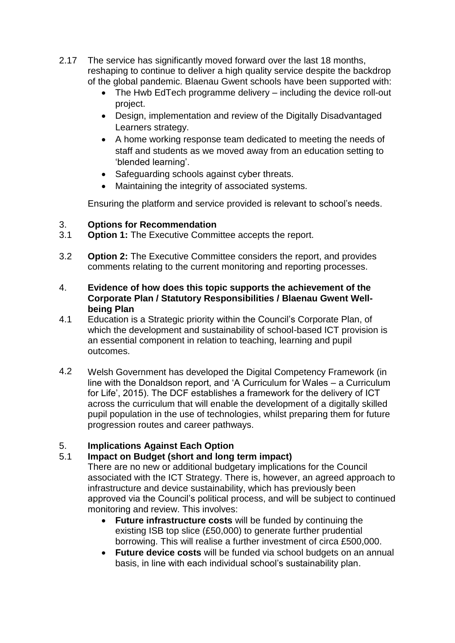- 2.17 The service has significantly moved forward over the last 18 months, reshaping to continue to deliver a high quality service despite the backdrop of the global pandemic. Blaenau Gwent schools have been supported with:
	- The Hwb EdTech programme delivery including the device roll-out project.
	- Design, implementation and review of the Digitally Disadvantaged Learners strategy.
	- A home working response team dedicated to meeting the needs of staff and students as we moved away from an education setting to 'blended learning'.
	- Safeguarding schools against cyber threats.
	- Maintaining the integrity of associated systems.

Ensuring the platform and service provided is relevant to school's needs.

## 3. **Options for Recommendation**

- 3.1 **Option 1:** The Executive Committee accepts the report.
- 3.2 **Option 2:** The Executive Committee considers the report, and provides comments relating to the current monitoring and reporting processes.
- 4. **Evidence of how does this topic supports the achievement of the Corporate Plan / Statutory Responsibilities / Blaenau Gwent Wellbeing Plan**
- 4.1 Education is a Strategic priority within the Council's Corporate Plan, of which the development and sustainability of school-based ICT provision is an essential component in relation to teaching, learning and pupil outcomes.
- 4.2 Welsh Government has developed the Digital Competency Framework (in line with the Donaldson report, and 'A Curriculum for Wales – a Curriculum for Life', 2015). The DCF establishes a framework for the delivery of ICT across the curriculum that will enable the development of a digitally skilled pupil population in the use of technologies, whilst preparing them for future progression routes and career pathways.

## 5. **Implications Against Each Option**

# 5.1 **Impact on Budget (short and long term impact)**

There are no new or additional budgetary implications for the Council associated with the ICT Strategy. There is, however, an agreed approach to infrastructure and device sustainability, which has previously been approved via the Council's political process, and will be subject to continued monitoring and review. This involves:

- **Future infrastructure costs** will be funded by continuing the existing ISB top slice (£50,000) to generate further prudential borrowing. This will realise a further investment of circa £500,000.
- **Future device costs** will be funded via school budgets on an annual basis, in line with each individual school's sustainability plan.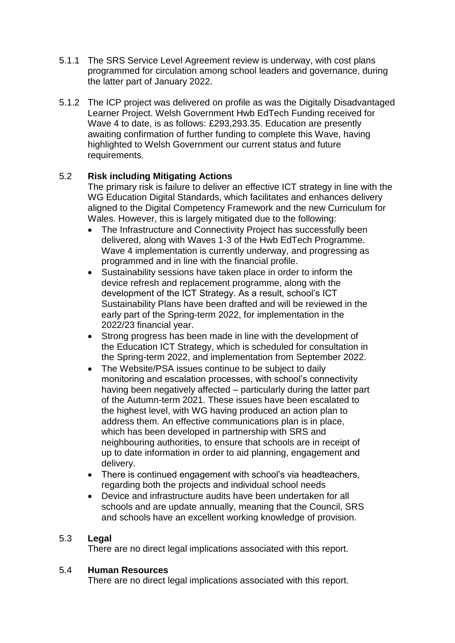- 5.1.1 The SRS Service Level Agreement review is underway, with cost plans programmed for circulation among school leaders and governance, during the latter part of January 2022.
- 5.1.2 The ICP project was delivered on profile as was the Digitally Disadvantaged Learner Project. Welsh Government Hwb EdTech Funding received for Wave 4 to date, is as follows: £293,293.35. Education are presently awaiting confirmation of further funding to complete this Wave, having highlighted to Welsh Government our current status and future requirements.

## 5.2 **Risk including Mitigating Actions**

The primary risk is failure to deliver an effective ICT strategy in line with the WG Education Digital Standards, which facilitates and enhances delivery aligned to the Digital Competency Framework and the new Curriculum for Wales. However, this is largely mitigated due to the following:

- The Infrastructure and Connectivity Project has successfully been delivered, along with Waves 1-3 of the Hwb EdTech Programme. Wave 4 implementation is currently underway, and progressing as programmed and in line with the financial profile.
- Sustainability sessions have taken place in order to inform the device refresh and replacement programme, along with the development of the ICT Strategy. As a result, school's ICT Sustainability Plans have been drafted and will be reviewed in the early part of the Spring-term 2022, for implementation in the 2022/23 financial year.
- Strong progress has been made in line with the development of the Education ICT Strategy, which is scheduled for consultation in the Spring-term 2022, and implementation from September 2022.
- The Website/PSA issues continue to be subject to daily monitoring and escalation processes, with school's connectivity having been negatively affected – particularly during the latter part of the Autumn-term 2021. These issues have been escalated to the highest level, with WG having produced an action plan to address them. An effective communications plan is in place, which has been developed in partnership with SRS and neighbouring authorities, to ensure that schools are in receipt of up to date information in order to aid planning, engagement and delivery.
- There is continued engagement with school's via headteachers, regarding both the projects and individual school needs
- Device and infrastructure audits have been undertaken for all schools and are update annually, meaning that the Council, SRS and schools have an excellent working knowledge of provision.

## 5.3 **Legal**

There are no direct legal implications associated with this report.

## 5.4 **Human Resources**

There are no direct legal implications associated with this report.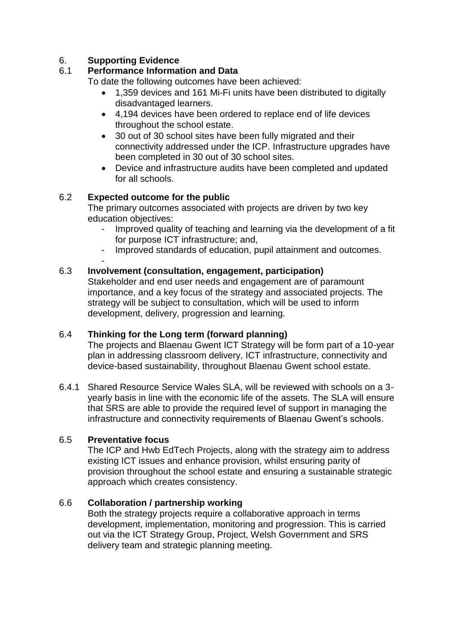## 6. **Supporting Evidence**

## 6.1 **Performance Information and Data**

To date the following outcomes have been achieved:

- 1,359 devices and 161 Mi-Fi units have been distributed to digitally disadvantaged learners.
- 4,194 devices have been ordered to replace end of life devices throughout the school estate.
- 30 out of 30 school sites have been fully migrated and their connectivity addressed under the ICP. Infrastructure upgrades have been completed in 30 out of 30 school sites.
- Device and infrastructure audits have been completed and updated for all schools.

# 6.2 **Expected outcome for the public**

The primary outcomes associated with projects are driven by two key education objectives:

- Improved quality of teaching and learning via the development of a fit for purpose ICT infrastructure; and,
- Improved standards of education, pupil attainment and outcomes.

#### - 6.3 **Involvement (consultation, engagement, participation)**

Stakeholder and end user needs and engagement are of paramount importance, and a key focus of the strategy and associated projects. The strategy will be subject to consultation, which will be used to inform development, delivery, progression and learning.

#### 6.4 **Thinking for the Long term (forward planning)**

The projects and Blaenau Gwent ICT Strategy will be form part of a 10-year plan in addressing classroom delivery, ICT infrastructure, connectivity and device-based sustainability, throughout Blaenau Gwent school estate.

6.4.1 Shared Resource Service Wales SLA, will be reviewed with schools on a 3 yearly basis in line with the economic life of the assets. The SLA will ensure that SRS are able to provide the required level of support in managing the infrastructure and connectivity requirements of Blaenau Gwent's schools.

# 6.5 **Preventative focus**

The ICP and Hwb EdTech Projects, along with the strategy aim to address existing ICT issues and enhance provision, whilst ensuring parity of provision throughout the school estate and ensuring a sustainable strategic approach which creates consistency.

## 6.6 **Collaboration / partnership working**

Both the strategy projects require a collaborative approach in terms development, implementation, monitoring and progression. This is carried out via the ICT Strategy Group, Project, Welsh Government and SRS delivery team and strategic planning meeting.